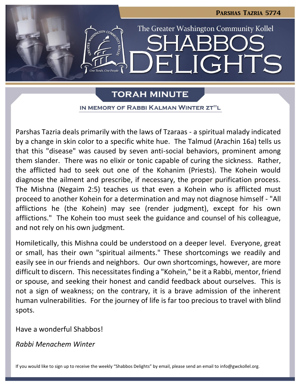

# **TORAH MINUTE**

IN MEMORY OF RABBI KALMAN WINTER ZT"L

Parshas Tazria deals primarily with the laws of Tzaraas - a spiritual malady indicated by a change in skin color to a specific white hue. The Talmud (Arachin 16a) tells us that this "disease" was caused by seven anti-social behaviors, prominent among them slander. There was no elixir or tonic capable of curing the sickness. Rather, the afflicted had to seek out one of the Kohanim (Priests). The Kohein would diagnose the ailment and prescribe, if necessary, the proper purification process. The Mishna (Negaim 2:5) teaches us that even a Kohein who is afflicted must proceed to another Kohein for a determination and may not diagnose himself - "All afflictions he (the Kohein) may see (render judgment), except for his own afflictions." The Kohein too must seek the guidance and counsel of his colleague, and not rely on his own judgment.

Homiletically, this Mishna could be understood on a deeper level. Everyone, great or small, has their own "spiritual ailments." These shortcomings we readily and easily see in our friends and neighbors. Our own shortcomings, however, are more difficult to discern. This necessitates finding a "Kohein," be it a Rabbi, mentor, friend or spouse, and seeking their honest and candid feedback about ourselves. This is not a sign of weakness; on the contrary, it is a brave admission of the inherent human vulnerabilities. For the journey of life is far too precious to travel with blind spots.

Have a wonderful Shabbos!

*Rabbi Menachem Winter*